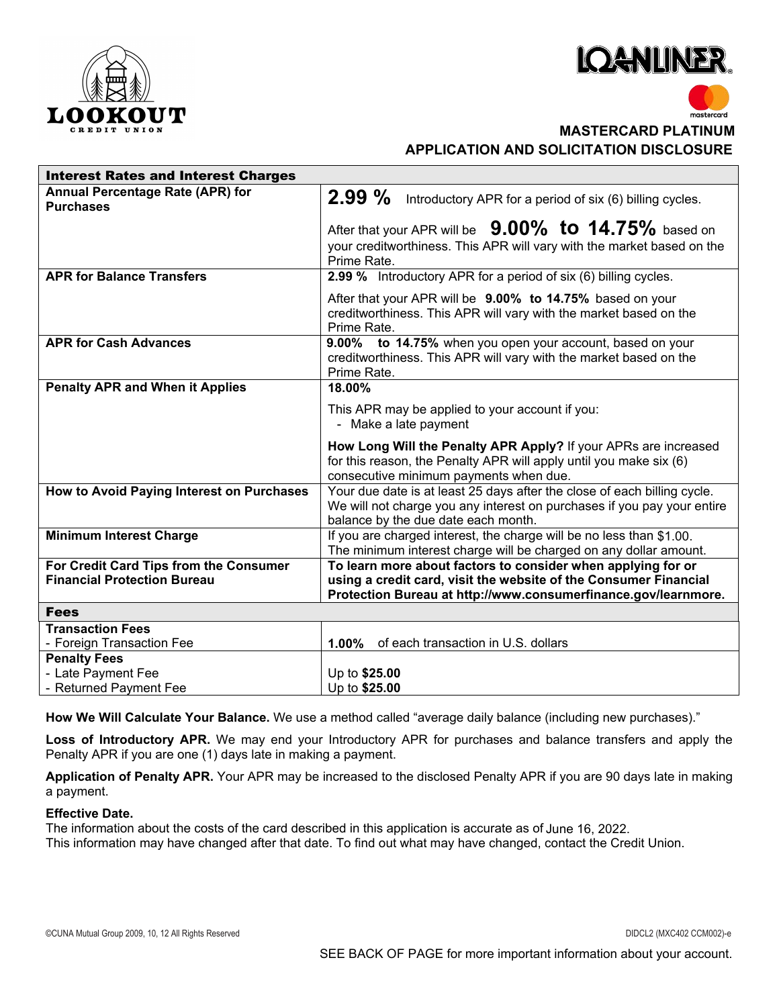



## **F1 MASTERCARD PLATINUM**

**APPLICATION AND SOLICITATION DISCLOSURE**

| <b>Interest Rates and Interest Charges</b>   |                                                                                                                                |
|----------------------------------------------|--------------------------------------------------------------------------------------------------------------------------------|
| Annual Percentage Rate (APR) for             | $2.99\%$<br>Introductory APR for a period of six (6) billing cycles.                                                           |
| <b>Purchases</b>                             |                                                                                                                                |
|                                              | After that your APR will be $9.00\%$ to $14.75\%$ based on                                                                     |
|                                              | your creditworthiness. This APR will vary with the market based on the                                                         |
|                                              | Prime Rate.                                                                                                                    |
| <b>APR for Balance Transfers</b>             | 2.99 % Introductory APR for a period of six (6) billing cycles.                                                                |
|                                              |                                                                                                                                |
|                                              | After that your APR will be 9.00% to 14.75% based on your<br>creditworthiness. This APR will vary with the market based on the |
|                                              | Prime Rate.                                                                                                                    |
| <b>APR for Cash Advances</b>                 | 9.00% to 14.75% when you open your account, based on your                                                                      |
|                                              | creditworthiness. This APR will vary with the market based on the                                                              |
|                                              | Prime Rate.                                                                                                                    |
| <b>Penalty APR and When it Applies</b>       | 18.00%                                                                                                                         |
|                                              | This APR may be applied to your account if you:                                                                                |
|                                              | - Make a late payment                                                                                                          |
|                                              | How Long Will the Penalty APR Apply? If your APRs are increased                                                                |
|                                              |                                                                                                                                |
|                                              |                                                                                                                                |
|                                              | for this reason, the Penalty APR will apply until you make six (6)                                                             |
|                                              | consecutive minimum payments when due.                                                                                         |
| How to Avoid Paying Interest on Purchases    | Your due date is at least 25 days after the close of each billing cycle.                                                       |
|                                              | We will not charge you any interest on purchases if you pay your entire<br>balance by the due date each month.                 |
| <b>Minimum Interest Charge</b>               | If you are charged interest, the charge will be no less than \$1.00.                                                           |
|                                              | The minimum interest charge will be charged on any dollar amount.                                                              |
| For Credit Card Tips from the Consumer       | To learn more about factors to consider when applying for or                                                                   |
| <b>Financial Protection Bureau</b>           | using a credit card, visit the website of the Consumer Financial                                                               |
|                                              | Protection Bureau at http://www.consumerfinance.gov/learnmore.                                                                 |
| <b>Fees</b>                                  |                                                                                                                                |
| <b>Transaction Fees</b>                      |                                                                                                                                |
| - Foreign Transaction Fee                    | 1.00% of each transaction in U.S. dollars                                                                                      |
| <b>Penalty Fees</b>                          |                                                                                                                                |
| - Late Payment Fee<br>- Returned Payment Fee | Up to \$25.00<br>Up to \$25.00                                                                                                 |

**How We Will Calculate Your Balance.** We use a method called "average daily balance (including new purchases)."

**Loss of Introductory APR.** We may end your Introductory APR for purchases and balance transfers and apply the Penalty APR if you are one (1) days late in making a payment.

**Application of Penalty APR.** Your APR may be increased to the disclosed Penalty APR if you are 90 days late in making a payment.

## **Effective Date.**

The information about the costs of the card described in this application is accurate as of June 16, 2022. This information may have changed after that date. To find out what may have changed, contact the Credit Union.